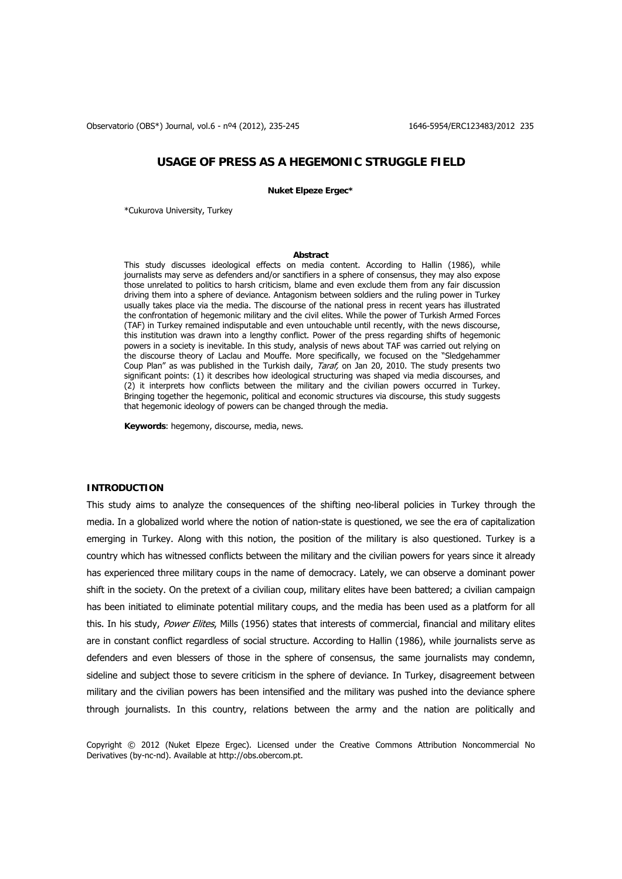Observatorio (OBS\*) Journal, vol.6 - nº4 (2012), 235-245 1646-5954/ERC123483/2012 235

# **USAGE OF PRESS AS A HEGEMONIC STRUGGLE FIELD**

**Nuket Elpeze Ergec\*** 

\*Cukurova University, Turkey

# **Abstract**

This study discusses ideological effects on media content. According to Hallin (1986), while journalists may serve as defenders and/or sanctifiers in a sphere of consensus, they may also expose those unrelated to politics to harsh criticism, blame and even exclude them from any fair discussion driving them into a sphere of deviance. Antagonism between soldiers and the ruling power in Turkey usually takes place via the media. The discourse of the national press in recent years has illustrated the confrontation of hegemonic military and the civil elites. While the power of Turkish Armed Forces (TAF) in Turkey remained indisputable and even untouchable until recently, with the news discourse, this institution was drawn into a lengthy conflict. Power of the press regarding shifts of hegemonic powers in a society is inevitable. In this study, analysis of news about TAF was carried out relying on the discourse theory of Laclau and Mouffe. More specifically, we focused on the "Sledgehammer Coup Plan" as was published in the Turkish daily, Taraf, on Jan 20, 2010. The study presents two significant points: (1) it describes how ideological structuring was shaped via media discourses, and (2) it interprets how conflicts between the military and the civilian powers occurred in Turkey. Bringing together the hegemonic, political and economic structures via discourse, this study suggests that hegemonic ideology of powers can be changed through the media.

**Keywords**: hegemony, discourse, media, news.

# **INTRODUCTION**

This study aims to analyze the consequences of the shifting neo-liberal policies in Turkey through the media. In a globalized world where the notion of nation-state is questioned, we see the era of capitalization emerging in Turkey. Along with this notion, the position of the military is also questioned. Turkey is a country which has witnessed conflicts between the military and the civilian powers for years since it already has experienced three military coups in the name of democracy. Lately, we can observe a dominant power shift in the society. On the pretext of a civilian coup, military elites have been battered; a civilian campaign has been initiated to eliminate potential military coups, and the media has been used as a platform for all this. In his study, Power Elites, Mills (1956) states that interests of commercial, financial and military elites are in constant conflict regardless of social structure. According to Hallin (1986), while journalists serve as defenders and even blessers of those in the sphere of consensus, the same journalists may condemn, sideline and subject those to severe criticism in the sphere of deviance. In Turkey, disagreement between military and the civilian powers has been intensified and the military was pushed into the deviance sphere through journalists. In this country, relations between the army and the nation are politically and

Copyright © 2012 (Nuket Elpeze Ergec). Licensed under the Creative Commons Attribution Noncommercial No Derivatives (by-nc-nd). Available at http://obs.obercom.pt.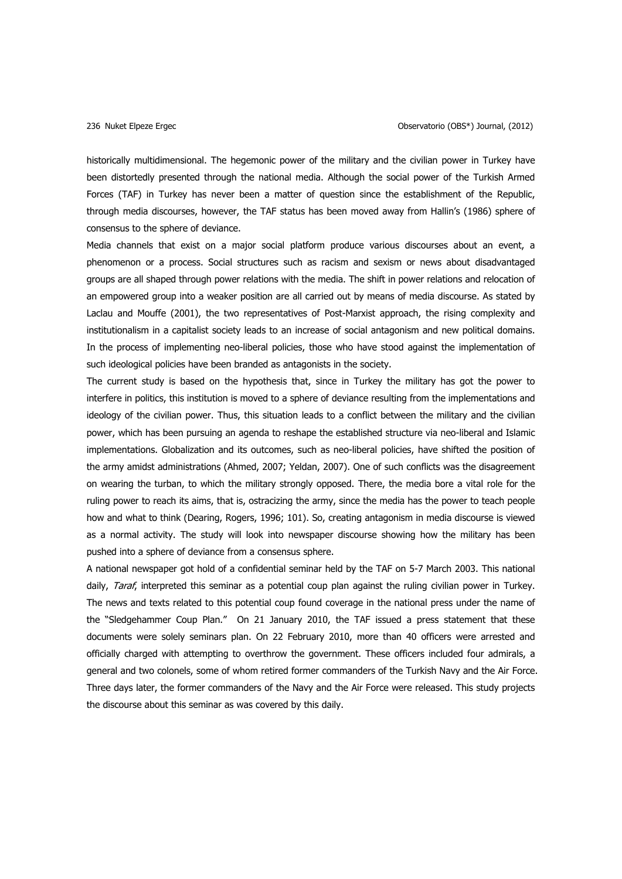historically multidimensional. The hegemonic power of the military and the civilian power in Turkey have been distortedly presented through the national media. Although the social power of the Turkish Armed Forces (TAF) in Turkey has never been a matter of question since the establishment of the Republic, through media discourses, however, the TAF status has been moved away from Hallin's (1986) sphere of consensus to the sphere of deviance.

Media channels that exist on a major social platform produce various discourses about an event, a phenomenon or a process. Social structures such as racism and sexism or news about disadvantaged groups are all shaped through power relations with the media. The shift in power relations and relocation of an empowered group into a weaker position are all carried out by means of media discourse. As stated by Laclau and Mouffe (2001), the two representatives of Post-Marxist approach, the rising complexity and institutionalism in a capitalist society leads to an increase of social antagonism and new political domains. In the process of implementing neo-liberal policies, those who have stood against the implementation of such ideological policies have been branded as antagonists in the society.

The current study is based on the hypothesis that, since in Turkey the military has got the power to interfere in politics, this institution is moved to a sphere of deviance resulting from the implementations and ideology of the civilian power. Thus, this situation leads to a conflict between the military and the civilian power, which has been pursuing an agenda to reshape the established structure via neo-liberal and Islamic implementations. Globalization and its outcomes, such as neo-liberal policies, have shifted the position of the army amidst administrations (Ahmed, 2007; Yeldan, 2007). One of such conflicts was the disagreement on wearing the turban, to which the military strongly opposed. There, the media bore a vital role for the ruling power to reach its aims, that is, ostracizing the army, since the media has the power to teach people how and what to think (Dearing, Rogers, 1996; 101). So, creating antagonism in media discourse is viewed as a normal activity. The study will look into newspaper discourse showing how the military has been pushed into a sphere of deviance from a consensus sphere.

A national newspaper got hold of a confidential seminar held by the TAF on 5-7 March 2003. This national daily, *Taraf*, interpreted this seminar as a potential coup plan against the ruling civilian power in Turkey. The news and texts related to this potential coup found coverage in the national press under the name of the "Sledgehammer Coup Plan." On 21 January 2010, the TAF issued a press statement that these documents were solely seminars plan. On 22 February 2010, more than 40 officers were arrested and officially charged with attempting to overthrow the government. These officers included four admirals, a general and two colonels, some of whom retired former commanders of the Turkish Navy and the Air Force. Three days later, the former commanders of the Navy and the Air Force were released. This study projects the discourse about this seminar as was covered by this daily.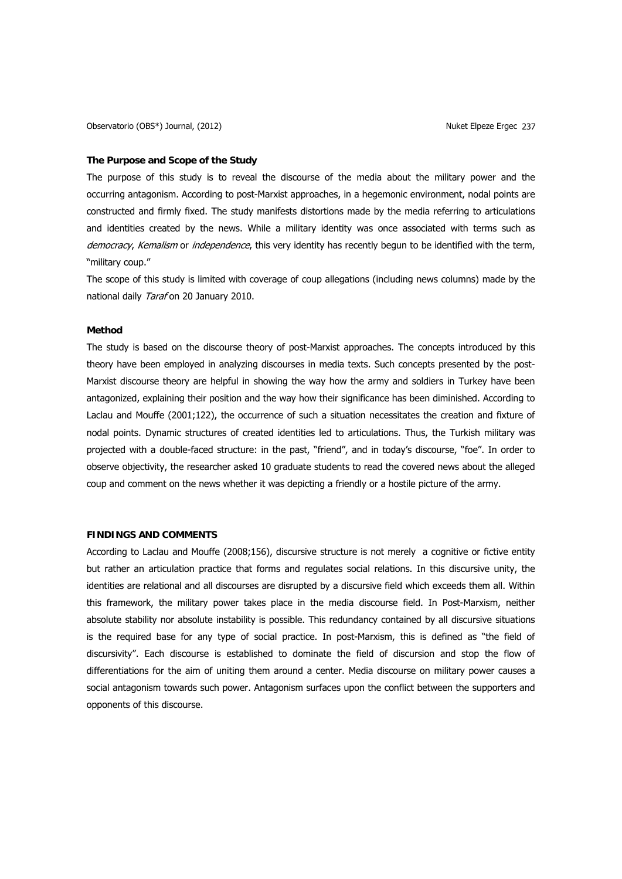#### **The Purpose and Scope of the Study**

The purpose of this study is to reveal the discourse of the media about the military power and the occurring antagonism. According to post-Marxist approaches, in a hegemonic environment, nodal points are constructed and firmly fixed. The study manifests distortions made by the media referring to articulations and identities created by the news. While a military identity was once associated with terms such as democracy, Kemalism or independence, this very identity has recently begun to be identified with the term, "military coup."

The scope of this study is limited with coverage of coup allegations (including news columns) made by the national daily Taraf on 20 January 2010.

## **Method**

The study is based on the discourse theory of post-Marxist approaches. The concepts introduced by this theory have been employed in analyzing discourses in media texts. Such concepts presented by the post-Marxist discourse theory are helpful in showing the way how the army and soldiers in Turkey have been antagonized, explaining their position and the way how their significance has been diminished. According to Laclau and Mouffe (2001;122), the occurrence of such a situation necessitates the creation and fixture of nodal points. Dynamic structures of created identities led to articulations. Thus, the Turkish military was projected with a double-faced structure: in the past, "friend", and in today's discourse, "foe". In order to observe objectivity, the researcher asked 10 graduate students to read the covered news about the alleged coup and comment on the news whether it was depicting a friendly or a hostile picture of the army.

# **FINDINGS AND COMMENTS**

According to Laclau and Mouffe (2008;156), discursive structure is not merely a cognitive or fictive entity but rather an articulation practice that forms and regulates social relations. In this discursive unity, the identities are relational and all discourses are disrupted by a discursive field which exceeds them all. Within this framework, the military power takes place in the media discourse field. In Post-Marxism, neither absolute stability nor absolute instability is possible. This redundancy contained by all discursive situations is the required base for any type of social practice. In post-Marxism, this is defined as "the field of discursivity". Each discourse is established to dominate the field of discursion and stop the flow of differentiations for the aim of uniting them around a center. Media discourse on military power causes a social antagonism towards such power. Antagonism surfaces upon the conflict between the supporters and opponents of this discourse.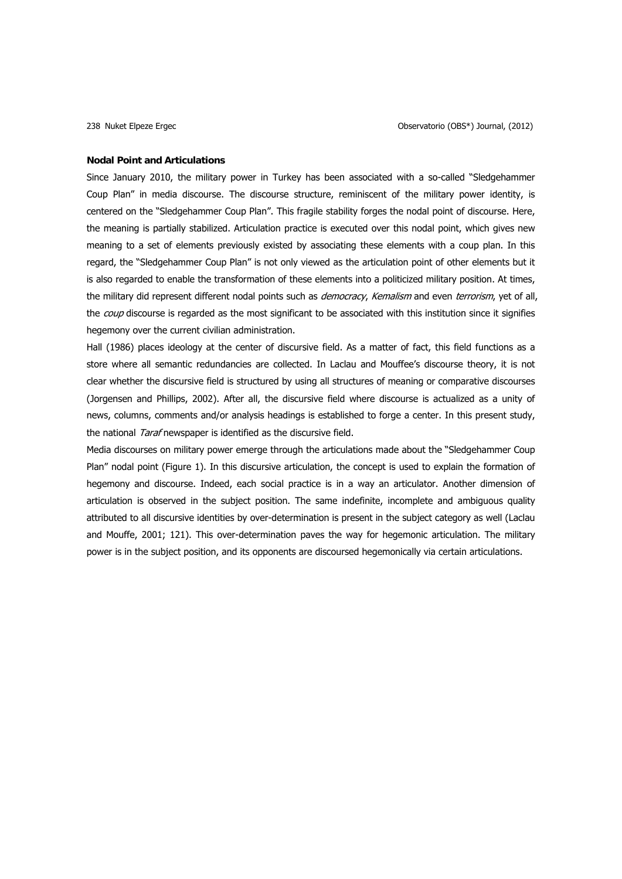### **Nodal Point and Articulations**

Since January 2010, the military power in Turkey has been associated with a so-called "Sledgehammer Coup Plan" in media discourse. The discourse structure, reminiscent of the military power identity, is centered on the "Sledgehammer Coup Plan". This fragile stability forges the nodal point of discourse. Here, the meaning is partially stabilized. Articulation practice is executed over this nodal point, which gives new meaning to a set of elements previously existed by associating these elements with a coup plan. In this regard, the "Sledgehammer Coup Plan" is not only viewed as the articulation point of other elements but it is also regarded to enable the transformation of these elements into a politicized military position. At times, the military did represent different nodal points such as *democracy, Kemalism* and even *terrorism*, yet of all, the *coup* discourse is regarded as the most significant to be associated with this institution since it signifies hegemony over the current civilian administration.

Hall (1986) places ideology at the center of discursive field. As a matter of fact, this field functions as a store where all semantic redundancies are collected. In Laclau and Mouffee's discourse theory, it is not clear whether the discursive field is structured by using all structures of meaning or comparative discourses (Jorgensen and Phillips, 2002). After all, the discursive field where discourse is actualized as a unity of news, columns, comments and/or analysis headings is established to forge a center. In this present study, the national *Taraf* newspaper is identified as the discursive field.

Media discourses on military power emerge through the articulations made about the "Sledgehammer Coup Plan" nodal point (Figure 1). In this discursive articulation, the concept is used to explain the formation of hegemony and discourse. Indeed, each social practice is in a way an articulator. Another dimension of articulation is observed in the subject position. The same indefinite, incomplete and ambiguous quality attributed to all discursive identities by over-determination is present in the subject category as well (Laclau and Mouffe, 2001; 121). This over-determination paves the way for hegemonic articulation. The military power is in the subject position, and its opponents are discoursed hegemonically via certain articulations.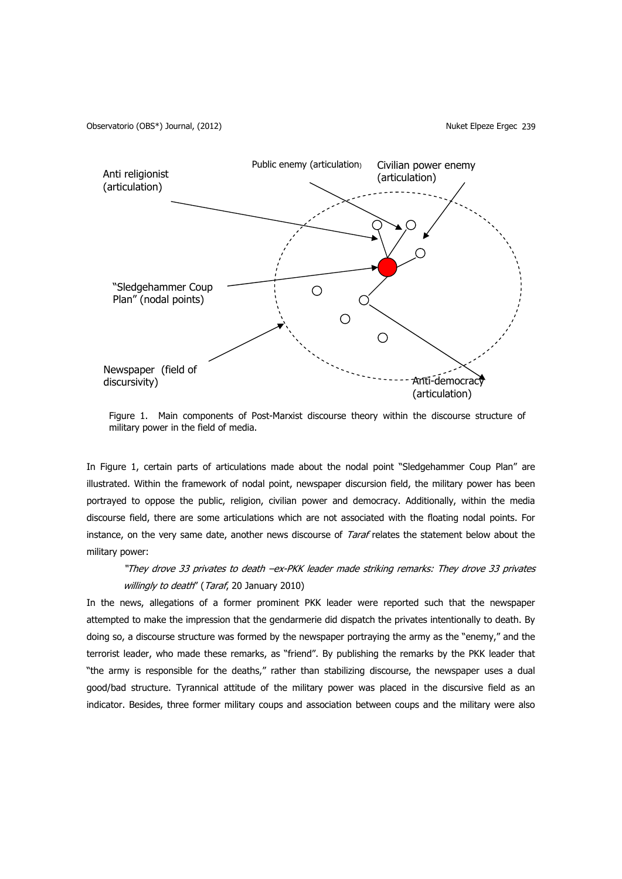Observatorio (OBS\*) Journal, (2012) (2012) 2008 12:39 Nuket Elpeze Ergec 239



Figure 1. Main components of Post-Marxist discourse theory within the discourse structure of military power in the field of media.

In Figure 1, certain parts of articulations made about the nodal point "Sledgehammer Coup Plan" are illustrated. Within the framework of nodal point, newspaper discursion field, the military power has been portrayed to oppose the public, religion, civilian power and democracy. Additionally, within the media discourse field, there are some articulations which are not associated with the floating nodal points. For instance, on the very same date, another news discourse of Taraf relates the statement below about the military power:

# "They drove 33 privates to death –ex-PKK leader made striking remarks: They drove 33 privates willingly to death" (Taraf, 20 January 2010)

In the news, allegations of a former prominent PKK leader were reported such that the newspaper attempted to make the impression that the gendarmerie did dispatch the privates intentionally to death. By doing so, a discourse structure was formed by the newspaper portraying the army as the "enemy," and the terrorist leader, who made these remarks, as "friend". By publishing the remarks by the PKK leader that "the army is responsible for the deaths," rather than stabilizing discourse, the newspaper uses a dual good/bad structure. Tyrannical attitude of the military power was placed in the discursive field as an indicator. Besides, three former military coups and association between coups and the military were also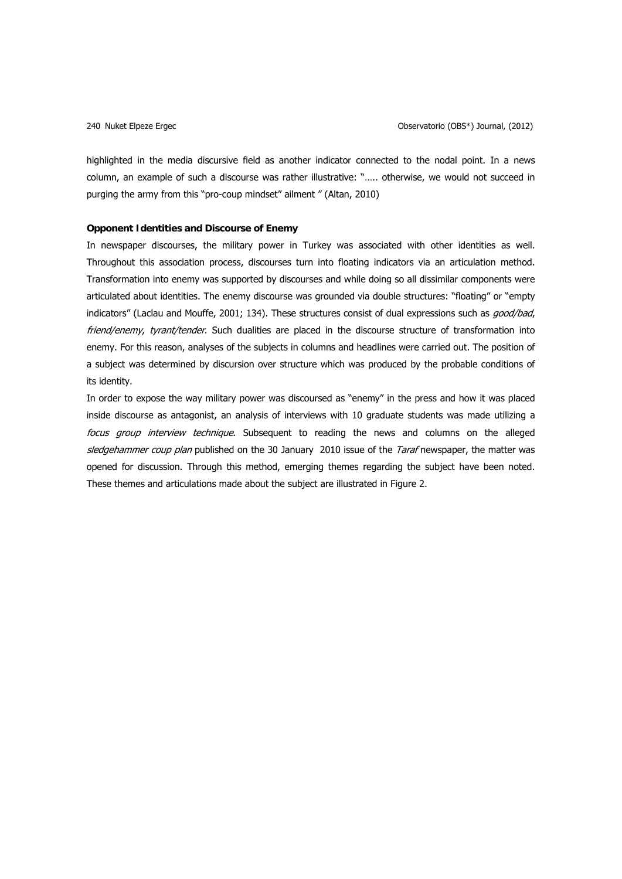highlighted in the media discursive field as another indicator connected to the nodal point. In a news column, an example of such a discourse was rather illustrative: "….. otherwise, we would not succeed in purging the army from this "pro-coup mindset" ailment " (Altan, 2010)

# **Opponent Identities and Discourse of Enemy**

In newspaper discourses, the military power in Turkey was associated with other identities as well. Throughout this association process, discourses turn into floating indicators via an articulation method. Transformation into enemy was supported by discourses and while doing so all dissimilar components were articulated about identities. The enemy discourse was grounded via double structures: "floating" or "empty indicators" (Laclau and Mouffe, 2001; 134). These structures consist of dual expressions such as good/bad, friend/enemy, tyrant/tender. Such dualities are placed in the discourse structure of transformation into enemy. For this reason, analyses of the subjects in columns and headlines were carried out. The position of a subject was determined by discursion over structure which was produced by the probable conditions of its identity.

In order to expose the way military power was discoursed as "enemy" in the press and how it was placed inside discourse as antagonist, an analysis of interviews with 10 graduate students was made utilizing a focus group interview technique. Subsequent to reading the news and columns on the alleged sledgehammer coup plan published on the 30 January 2010 issue of the Taraf newspaper, the matter was opened for discussion. Through this method, emerging themes regarding the subject have been noted. These themes and articulations made about the subject are illustrated in Figure 2.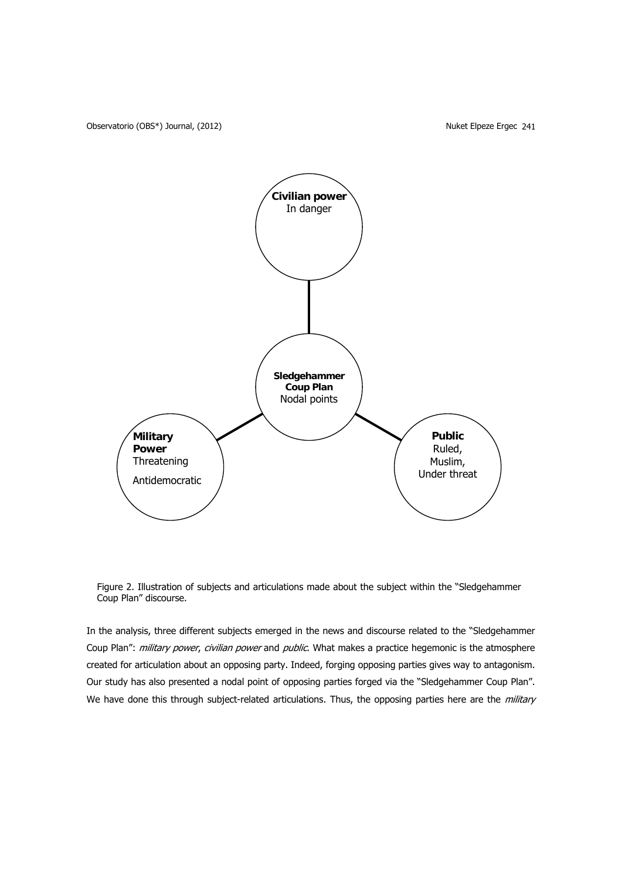Observatorio (OBS\*) Journal, (2012) <br>
Observatorio (OBS\*) Journal, (2012) <br>
Observatorio (OBS\*) Journal, (2012)



Figure 2. Illustration of subjects and articulations made about the subject within the "Sledgehammer Coup Plan" discourse.

In the analysis, three different subjects emerged in the news and discourse related to the "Sledgehammer Coup Plan": military power, civilian power and public. What makes a practice hegemonic is the atmosphere created for articulation about an opposing party. Indeed, forging opposing parties gives way to antagonism. Our study has also presented a nodal point of opposing parties forged via the "Sledgehammer Coup Plan". We have done this through subject-related articulations. Thus, the opposing parties here are the *military*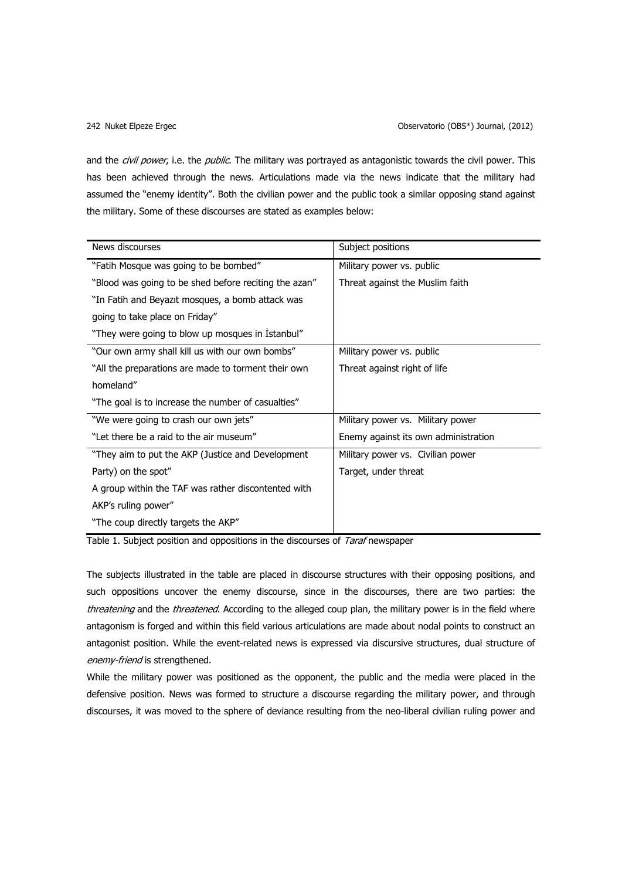and the *civil power*, i.e. the *public*. The military was portrayed as antagonistic towards the civil power. This has been achieved through the news. Articulations made via the news indicate that the military had assumed the "enemy identity". Both the civilian power and the public took a similar opposing stand against the military. Some of these discourses are stated as examples below:

| News discourses                                       | Subject positions                    |
|-------------------------------------------------------|--------------------------------------|
| "Fatih Mosque was going to be bombed"                 | Military power vs. public            |
| "Blood was going to be shed before reciting the azan" | Threat against the Muslim faith      |
| "In Fatih and Beyazit mosques, a bomb attack was      |                                      |
| going to take place on Friday"                        |                                      |
| "They were going to blow up mosques in Istanbul"      |                                      |
| "Our own army shall kill us with our own bombs"       | Military power vs. public            |
| "All the preparations are made to torment their own   | Threat against right of life         |
| homeland"                                             |                                      |
| "The goal is to increase the number of casualties"    |                                      |
| "We were going to crash our own jets"                 | Military power vs. Military power    |
| "Let there be a raid to the air museum"               | Enemy against its own administration |
| "They aim to put the AKP (Justice and Development     | Military power vs. Civilian power    |
| Party) on the spot"                                   | Target, under threat                 |
| A group within the TAF was rather discontented with   |                                      |
| AKP's ruling power"                                   |                                      |
| "The coup directly targets the AKP"                   |                                      |

Table 1. Subject position and oppositions in the discourses of *Taraf* newspaper

The subjects illustrated in the table are placed in discourse structures with their opposing positions, and such oppositions uncover the enemy discourse, since in the discourses, there are two parties: the threatening and the threatened. According to the alleged coup plan, the military power is in the field where antagonism is forged and within this field various articulations are made about nodal points to construct an antagonist position. While the event-related news is expressed via discursive structures, dual structure of enemy-friend is strengthened.

While the military power was positioned as the opponent, the public and the media were placed in the defensive position. News was formed to structure a discourse regarding the military power, and through discourses, it was moved to the sphere of deviance resulting from the neo-liberal civilian ruling power and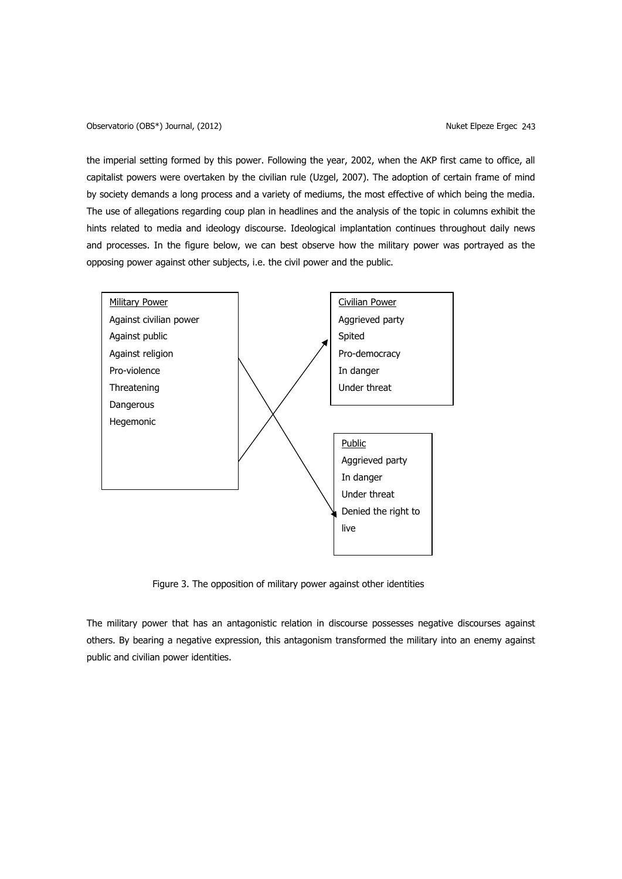Observatorio (OBS\*) Journal, (2012) Nuket Elpeze Ergec 243

the imperial setting formed by this power. Following the year, 2002, when the AKP first came to office, all capitalist powers were overtaken by the civilian rule (Uzgel, 2007). The adoption of certain frame of mind by society demands a long process and a variety of mediums, the most effective of which being the media. The use of allegations regarding coup plan in headlines and the analysis of the topic in columns exhibit the hints related to media and ideology discourse. Ideological implantation continues throughout daily news and processes. In the figure below, we can best observe how the military power was portrayed as the opposing power against other subjects, i.e. the civil power and the public.



Figure 3. The opposition of military power against other identities

The military power that has an antagonistic relation in discourse possesses negative discourses against others. By bearing a negative expression, this antagonism transformed the military into an enemy against public and civilian power identities.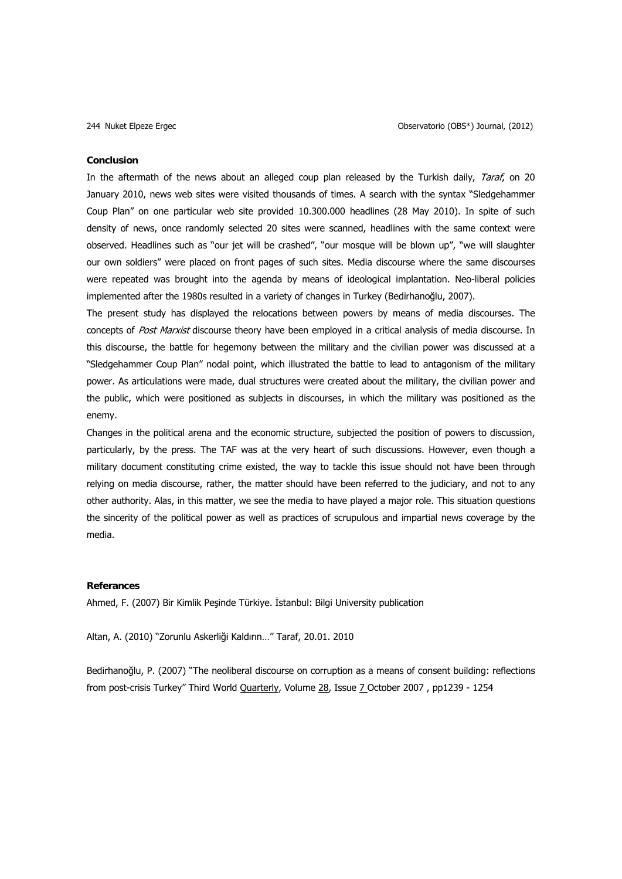#### **Conclusion**

In the aftermath of the news about an alleged coup plan released by the Turkish daily, Taraf, on 20 January 2010, news web sites were visited thousands of times. A search with the syntax "Sledgehammer Coup Plan" on one particular web site provided 10.300.000 headlines (28 May 2010). In spite of such density of news, once randomly selected 20 sites were scanned, headlines with the same context were observed. Headlines such as "our jet will be crashed", "our mosque will be blown up", "we will slaughter our own soldiers" were placed on front pages of such sites. Media discourse where the same discourses were repeated was brought into the agenda by means of ideological implantation. Neo-liberal policies implemented after the 1980s resulted in a variety of changes in Turkey (Bedirhanoğlu, 2007).

The present study has displayed the relocations between powers by means of media discourses. The concepts of Post Marxist discourse theory have been employed in a critical analysis of media discourse. In this discourse, the battle for hegemony between the military and the civilian power was discussed at a "Sledgehammer Coup Plan" nodal point, which illustrated the battle to lead to antagonism of the military power. As articulations were made, dual structures were created about the military, the civilian power and the public, which were positioned as subjects in discourses, in which the military was positioned as the enemy.

Changes in the political arena and the economic structure, subjected the position of powers to discussion, particularly, by the press. The TAF was at the very heart of such discussions. However, even though a military document constituting crime existed, the way to tackle this issue should not have been through relying on media discourse, rather, the matter should have been referred to the judiciary, and not to any other authority. Alas, in this matter, we see the media to have played a major role. This situation questions the sincerity of the political power as well as practices of scrupulous and impartial news coverage by the media.

# **Referances**

Ahmed, F. (2007) Bir Kimlik Peşinde Türkiye. İstanbul: Bilgi University publication

Altan, A. (2010) "Zorunlu Askerliği Kaldırın…" Taraf, 20.01. 2010

Bedirhanoğlu, P. (2007) "The neoliberal discourse on corruption as a means of consent building: reflections from post-crisis Turkey" Third World [Quarterly,](http://www.informaworld.com/smpp/title%7Edb=all%7Econtent=t713448481) Volume [28,](http://www.informaworld.com/smpp/title~db=all~content=t713448481~tab=issueslist~branches=28#v28) Issue [7 O](http://www.informaworld.com/smpp/title%7Edb=all%7Econtent=g782268915)ctober 2007, pp1239 - 1254